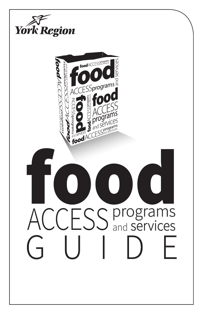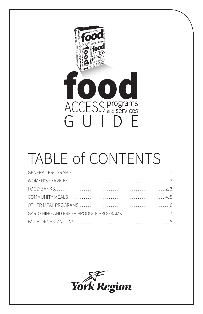

## TABLE of CONTENTS

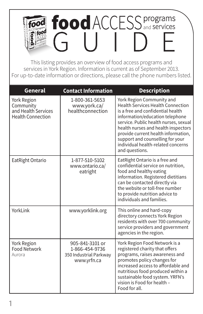## food **ACCESS** and services nod and **services** food GUIDE

This listing provides an overview of food access programs and services in York Region. Information is current as of September 2013. For up-to-date information or directions, please call the phone numbers listed.

| <b>General</b>                                                              | <b>Contact Information</b>                                                 | <b>Description</b>                                                                                                                                                                                                                                                                                                                                               |
|-----------------------------------------------------------------------------|----------------------------------------------------------------------------|------------------------------------------------------------------------------------------------------------------------------------------------------------------------------------------------------------------------------------------------------------------------------------------------------------------------------------------------------------------|
| York Region<br>Community<br>and Health Services<br><b>Health Connection</b> | 1-800-361-5653<br>www.york.ca/<br>healthconnection                         | York Region Community and<br><b>Health Services Health Connection</b><br>is a free and confidential health<br>information/education telephone<br>service. Public health nurses, sexual<br>health nurses and health inspectors<br>provide current health information,<br>support and counselling for your<br>individual health-related concerns<br>and questions. |
| EatRight Ontario                                                            | 1-877-510-5102<br>www.ontario.ca/<br>eatright                              | EatRight Ontario is a free and<br>confidential service on nutrition,<br>food and healthy eating<br>information. Registered dietitians<br>can be contacted directly via<br>the website or toll-free number<br>to provide nutrition advice to<br>individuals and families.                                                                                         |
| YorkLink                                                                    | www.yorklink.org                                                           | This online and hard-copy<br>directory connects York Region<br>residents with over 700 community<br>service providers and government<br>agencies in the region.                                                                                                                                                                                                  |
| <b>York Region</b><br><b>Food Network</b><br>Aurora                         | 905-841-3101 or<br>1-866-454-9736<br>350 Industrial Parkway<br>www.yrfn.ca | York Region Food Network is a<br>registered charity that offers<br>programs, raises awareness and<br>promotes policy changes for<br>increased access to affordable and<br>nutritious food produced within a<br>sustainable food system. YRFN's<br>vision is Food for health -<br>Food for all.                                                                   |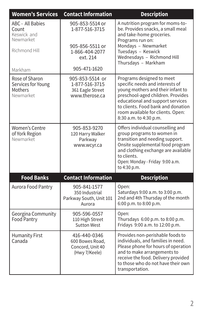| <b>Women's Services</b>                                                | <b>Contact Information</b>                                                                         | <b>Description</b>                                                                                                                                                                                                                                                              |
|------------------------------------------------------------------------|----------------------------------------------------------------------------------------------------|---------------------------------------------------------------------------------------------------------------------------------------------------------------------------------------------------------------------------------------------------------------------------------|
| ABC - All Babies<br>Count<br>Keswick and<br>Newmarket<br>Richmond Hill | 905-853-5514 or<br>1-877-516-3715<br>905-856-5511 or<br>1-866-404-2077<br>ext. 214<br>905-471-1620 | A nutrition program for moms-to-<br>be. Provides snacks, a small meal<br>and take-home groceries.<br>Programs run on:<br>Mondays - Newmarket<br>Tuesdays - Keswick<br>Wednesdays - Richmond Hill<br>Thursdays - Markham                                                         |
| Markham                                                                |                                                                                                    |                                                                                                                                                                                                                                                                                 |
| Rose of Sharon<br>Services for Young<br>Mothers<br>Newmarket           | 905-853-5514 or<br>1-877-516-3715<br>361 Eagle Street<br>www.therose.ca                            | Programs designed to meet<br>specific needs and interests of<br>young mothers and their infant to<br>preschool-aged children. Provides<br>educational and support services<br>to clients. Food bank and donation<br>room available for clients. Open:<br>8:30 a.m. to 4:30 p.m. |
| <b>Women's Centre</b><br>of York Region<br>Newmarket                   | 905-853-9270<br>120 Harry Walker<br>Parkway<br>www.wcyr.ca                                         | Offers individual counselling and<br>group programs to women in<br>transition and needing support.<br>Onsite supplemental food program<br>and clothing exchange are available<br>to clients.<br>Open: Monday - Friday 9:00 a.m.<br>to 4:30 p.m.                                 |
| <b>Food Banks</b>                                                      | <b>Contact Information</b>                                                                         | <b>Description</b>                                                                                                                                                                                                                                                              |
| Aurora Food Pantry                                                     | 905-841-1577<br>350 Industrial<br>Parkway South, Unit 101<br>Aurora                                | Open:<br>Saturdays 9:00 a.m. to 3:00 p.m.<br>2nd and 4th Thursday of the month<br>6:00 p.m. to 8:00 p.m.                                                                                                                                                                        |
| Georgina Community<br><b>Food Pantry</b>                               | 905-596-0557<br>110 High Street<br><b>Sutton West</b>                                              | Open:<br>Thursdays 6:00 p.m. to 8:00 p.m.<br>Fridays 9:00 a.m. to 12:00 p.m.                                                                                                                                                                                                    |
| <b>Humanity First</b><br>Canada                                        | 416-440-0346<br>600 Bowes Road.<br>Concord, Unit 40<br>(Hwy 7/Keele)                               | Provides non-perishable foods to<br>individuals, and families in need.<br>Please phone for hours of operation<br>and to make arrangements to<br>receive the food. Delivery provided<br>to those who do not have their own<br>transportation.                                    |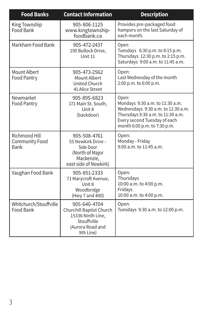| <b>Food Banks</b>                                     | <b>Contact Information</b>                                                                                    | <b>Description</b>                                                                                                                                                                  |
|-------------------------------------------------------|---------------------------------------------------------------------------------------------------------------|-------------------------------------------------------------------------------------------------------------------------------------------------------------------------------------|
| King Township<br>Food Bank                            | 905-806-1125<br>www.kingtownship-<br>foodbank.ca                                                              | Provides pre-packaged food<br>hampers on the last Saturday of<br>each month.                                                                                                        |
| Markham Food Bank                                     | 905-472-2437<br>190 Bullock Drive,<br>Unit 11                                                                 | Open:<br>Tuesdays 6:30 p.m. to 8:15 p.m.<br>Thursdays 12:30 p.m. to 2:15 p.m.<br>Saturdays 9:00 a.m. to 11:45 a.m.                                                                  |
| <b>Mount Albert</b><br><b>Food Pantry</b>             | 905-473-2562<br>Mount Albert<br><b>United Church</b><br>41 Alice Street                                       | Open:<br>Last Wednesday of the month<br>2:00 p.m. to 6:00 p.m.                                                                                                                      |
| Newmarket<br><b>Food Pantry</b>                       | 905-895-6823<br>171 Main St. South,<br>Unit 8<br>(backdoor)                                                   | Open:<br>Mondays 9:30 a.m. to 11:30 a.m.<br>Wednesdays 9:30 a.m. to 11:30 a.m.<br>Thursdays 9:30 a.m. to 11:30 a.m.<br>Every second Tuesday of each<br>month 6:00 p.m. to 7:30 p.m. |
| Richmond Hill<br><b>Community Food</b><br><b>Bank</b> | 905-508-4761<br>55 Newkirk Drive -<br>Side Door<br>(North of Major<br>Mackenzie,<br>east side of Newkirk)     | Open:<br>Monday - Friday<br>9:00 a.m. to 11:45 a.m.                                                                                                                                 |
| Vaughan Food Bank                                     | 905-851-2333<br>71 Marycroft Avenue,<br>Unit 8<br>Woodbridge<br>(Hwy 7 and 400)                               | Open:<br>Thursdays<br>10:00 a.m. to 4:00 p.m.<br>Fridays<br>10:00 a.m. to 4:00 p.m.                                                                                                 |
| Whitchurch/Stouffville<br>Food Bank                   | 905-640-4704<br>Churchill Baptist Church<br>15336 Ninth Line,<br>Stouffville<br>(Aurora Road and<br>9th Line) | Open:<br>Tuesdays 9:30 a.m. to 12:00 p.m.                                                                                                                                           |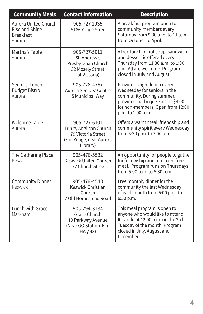| <b>Community Meals</b>                                                             | <b>Contact Information</b>                                                                            | <b>Description</b>                                                                                                                                                                      |
|------------------------------------------------------------------------------------|-------------------------------------------------------------------------------------------------------|-----------------------------------------------------------------------------------------------------------------------------------------------------------------------------------------|
| <b>Aurora United Church</b><br><b>Rise and Shine</b><br><b>Breakfast</b><br>Aurora | 905-727-1935<br>15186 Yonge Street                                                                    | A breakfast program open to<br>community members every<br>Saturday from 9:30 a.m. to 11 a.m.<br>from October to April.                                                                  |
| Martha's Table<br>Aurora                                                           | 905-727-5011<br>St. Andrew's<br>Presbyterian Church<br>32 Mosely Street<br>(at Victoria)              | A free lunch of hot soup, sandwich<br>and dessert is offered every<br>Thursday from 11:30 a.m. to 1:00<br>p.m. All are welcome. Program<br>closed in July and August.                   |
| Seniors' Lunch<br><b>Budget Bistro</b><br>Aurora                                   | 905-726-4767<br>Aurora Seniors' Centre<br>5 Municipal Way                                             | Provides a light lunch every<br>Wednesday for seniors in the<br>community. During summer,<br>provides barbeque. Cost is \$4.00<br>for non-members. Open from 12:00<br>p.m. to 1:00 p.m. |
| Welcome Table<br>Aurora                                                            | 905-727-6101<br>Trinity Anglican Church<br>79 Victoria Street<br>(E of Yonge, near Aurora<br>Library) | Offers a warm meal, friendship and<br>community spirit every Wednesday<br>from 5:30 p.m. to 7:00 p.m.                                                                                   |
| The Gathering Place<br>Keswick                                                     | 905-476-5532<br><b>Keswick United Church</b><br>177 Church Street                                     | An opportunity for people to gather<br>for fellowship and a relaxed free<br>meal. Program runs on Thursdays<br>from 5:00 p.m. to 6:30 p.m.                                              |
| <b>Community Dinner</b><br>Keswick                                                 | 905-476-4548<br><b>Keswick Christian</b><br>Church<br>2 Old Homestead Road                            | Free monthly dinner for the<br>community the last Wednesday<br>of each month from 5:00 p.m. to<br>6:30 p.m.                                                                             |
| Lunch with Grace<br>Markham                                                        | 905-294-3184<br>Grace Church<br>19 Parkway Avenue<br>(Near GO Station, E of<br><b>Hwy 48)</b>         | This meal program is open to<br>anyone who would like to attend.<br>It is held at 12:00 p.m. on the 3rd<br>Tuesday of the month. Program<br>closed in July, August and<br>December.     |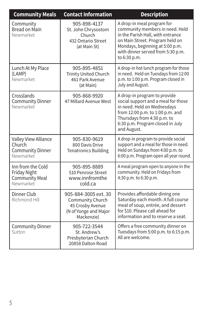| <b>Community Meals</b>                                                  | <b>Contact Information</b>                                                                          | <b>Description</b>                                                                                                                                                                                                            |
|-------------------------------------------------------------------------|-----------------------------------------------------------------------------------------------------|-------------------------------------------------------------------------------------------------------------------------------------------------------------------------------------------------------------------------------|
| Community<br><b>Bread on Main</b><br>Newmarket                          | 905-898-4137<br>St. John Chrysostom<br>Church<br>432 Ontario Street<br>(at Main St)                 | A drop-in meal program for<br>community members in need. Held<br>in the Parish Hall, with entrance<br>on Main Street. Program held on<br>Mondays, beginning at 5:00 p.m.<br>with dinner served from 5:30 p.m.<br>to 6:30 p.m. |
| Lunch At My Place<br>(LAMP)<br>Newmarket                                | 905-895-4851<br><b>Trinity United Church</b><br>461 Park Avenue<br>(at Main)                        | A drop-in hot lunch program for those<br>in need. Held on Tuesdays from 12:00<br>p.m. to 1:00 p.m. Program closed in<br>July and August.                                                                                      |
| Crosslands<br><b>Community Dinner</b><br>Newmarket                      | 905-868-9920<br>47 Millard Avenue West                                                              | A drop-in program to provide<br>social support and a meal for those<br>in need. Held on Wednesdays<br>from 12:00 p.m. to 1:00 p.m. and<br>Thursdays from 4:30 p.m. to<br>6:30 p.m. Program closed in July<br>and August.      |
| Valley View Alliance<br>Church<br><b>Community Dinner</b><br>Newmarket  | 905-830-9619<br>800 Davis Drive<br><b>Tenatronics Building</b>                                      | A drop-in program to provide social<br>support and a meal for those in need.<br>Held on Sundays from 4:00 p.m. to<br>6:00 p.m. Program open all year round.                                                                   |
| Inn from the Cold<br>Friday Night<br><b>Community Meal</b><br>Newmarket | 905-895-8889<br>510 Penrose Street<br>www.innfromthe<br>cold.ca                                     | A meal program open to anyone in the<br>community. Held on Fridays from<br>4:30 p.m. to 6:30 p.m.                                                                                                                             |
| Dinner Club<br>Richmond Hill                                            | 905-884-3005 ext. 30<br>Community Church<br>45 Crosby Avenue<br>(N of Yonge and Major<br>Mackenzie) | Provides affordable dining one<br>Saturday each month. A full course<br>meal of soup, entrée, and dessert<br>for \$10. Please call ahead for<br>information and to reserve a seat.                                            |
| <b>Community Dinner</b><br>Sutton                                       | 905-722-3544<br>St. Andrew's<br>Presbyterian Church<br>20858 Dalton Road                            | Offers a free community dinner on<br>Tuesdays from 5:00 p.m. to 6:15 p.m.<br>All are welcome.                                                                                                                                 |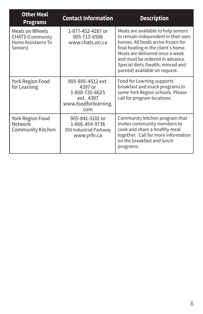| <b>Other Meal</b><br><b>Programs</b>                                         | <b>Contact Information</b>                                                                 | <b>Description</b>                                                                                                                                                                                                                                                                                 |
|------------------------------------------------------------------------------|--------------------------------------------------------------------------------------------|----------------------------------------------------------------------------------------------------------------------------------------------------------------------------------------------------------------------------------------------------------------------------------------------------|
| Meals on Wheels<br><b>CHATS (Community</b><br>Home Assistance To<br>Seniors) | 1-877-452-4287 or<br>905-713-6596<br>www.chats.on.ca                                       | Meals are available to help seniors<br>to remain independent in their own<br>homes. All foods arrive frozen for<br>final heating in the client's home.<br>Meals are delivered once a week<br>and must be ordered in advance.<br>Special diets (health, minced and<br>pureed) available on request. |
| York Region Food<br>for Learning                                             | 905-895-4512 ext.<br>4397 or<br>1-800-735-6625<br>ext. 4397<br>www.foodforlearning.<br>com | Food for Learning supports<br>breakfast and snack programs in<br>some York Region schools. Please<br>call for program locations.                                                                                                                                                                   |
| York Region Food<br><b>Network</b><br>Community Kitchen                      | 905-841-3101 or<br>1-866-454-9736<br>350 Industrial Parkway<br>www.yrfn.ca                 | Community kitchen program that<br>invites community members to<br>cook and share a healthy meal<br>together. Call for more information<br>on the breakfast and lunch<br>programs.                                                                                                                  |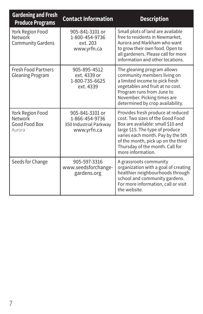| <b>Gardening and Fresh</b><br><b>Produce Programs</b>          | <b>Contact Information</b>                                                 | <b>Description</b>                                                                                                                                                                                                                                                               |
|----------------------------------------------------------------|----------------------------------------------------------------------------|----------------------------------------------------------------------------------------------------------------------------------------------------------------------------------------------------------------------------------------------------------------------------------|
| York Region Food<br><b>Network</b><br><b>Community Gardens</b> | 905-841-3101 or<br>1-800-454-9736<br>ext. 203<br>www.yrfn.ca               | Small plots of land are available<br>free to residents in Newmarket,<br>Aurora and Markham who want<br>to grow their own food. Open to<br>all gardeners. Please call for more<br>information and other locations.                                                                |
| <b>Fresh Food Partners</b><br><b>Gleaning Program</b>          | 905-895-4512<br>ext. 4339 or<br>1-800-735-6625<br>ext. 4339                | The gleaning program allows<br>community members living on<br>a limited income to pick fresh<br>vegetables and fruit at no cost.<br>Program runs from June to<br>November. Picking times are<br>determined by crop availability.                                                 |
| York Region Food<br><b>Network</b><br>Good Food Box<br>Aurora  | 905-841-3101 or<br>1-866-454-9736<br>350 Industrial Parkway<br>www.yrfn.ca | Provides fresh produce at reduced<br>cost. Two sizes of the Good Food<br>Box are available: small \$10 and<br>large \$15. The type of produce<br>varies each month. Pay by the 5th<br>of the month, pick up on the third<br>Thursday of the month. Call for<br>more information. |
| Seeds for Change                                               | 905-597-3316<br>www.seedsforchange-<br>gardens.org                         | A grassroots community<br>organization with a goal of creating<br>healthier neighbourhoods through<br>school and community gardens.<br>For more information, call or visit<br>the website.                                                                                       |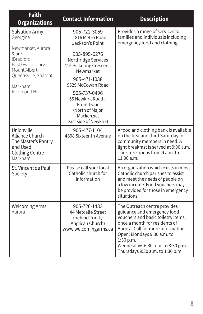| <b>Faith</b><br><b>Organizations</b>                                                                  | <b>Contact Information</b>                                                                                | <b>Description</b>                                                                                                                                                                                                                                                                           |
|-------------------------------------------------------------------------------------------------------|-----------------------------------------------------------------------------------------------------------|----------------------------------------------------------------------------------------------------------------------------------------------------------------------------------------------------------------------------------------------------------------------------------------------|
| Salvation Army<br>Georgina<br>Newmarket, Aurora                                                       | 905-722-3059<br>1816 Metro Road,<br>Jackson's Point                                                       | Provides a range of services to<br>families and individuals including<br>emergency food and clothing.                                                                                                                                                                                        |
| & area<br>(Bradford,<br>East Gwillimbury,<br>Mount Albert,                                            | 905-895-6276<br>Northridge Services<br>415 Pickering Crescent,<br>Newmarket                               |                                                                                                                                                                                                                                                                                              |
| Queensville, Sharon)<br>Markham                                                                       | 905-471-1038<br>9329 McCowan Road                                                                         |                                                                                                                                                                                                                                                                                              |
| Richmond Hill                                                                                         | 905-737-0496<br>55 Newkirk Road -<br>Front Door<br>(North of Major<br>Mackenzie,<br>east side of Newkirk) |                                                                                                                                                                                                                                                                                              |
| Unionville<br>Alliance Church<br>The Master's Pantry<br>and Used<br><b>Clothing Centre</b><br>Markham | 905-477-1104<br>4898 Sixteenth Avenue                                                                     | A food and clothing bank is available<br>on the first and third Saturday for<br>community members in need. A<br>light breakfast is served at 9:00 a.m.<br>The store opens from 9 a.m. to<br>11:00a.m.                                                                                        |
| St. Vincent de Paul<br>Society                                                                        | Please call your local<br>Catholic church for<br>information                                              | An organization which exists in most<br>Catholic church parishes to assist<br>and meet the needs of people on<br>a low income. Food vouchers may<br>be provided for those in emergency<br>situations.                                                                                        |
| <b>Welcoming Arms</b><br>Aurora                                                                       | 905-726-1483<br>44 Metcalfe Street<br>(behind Trinity<br>Anglican Church)<br>www.welcomingarms.ca         | The Outreach centre provides<br>guidance and emergency food<br>vouchers and basic toiletry items,<br>once a month for residents of<br>Aurora. Call for more information.<br>Open: Mondays 9:30 a.m. to<br>1:30 p.m.<br>Wednesdays 6:30 p.m. to 8:30 p.m.<br>Thursdays 9:30 a.m. to 1:30 p.m. |